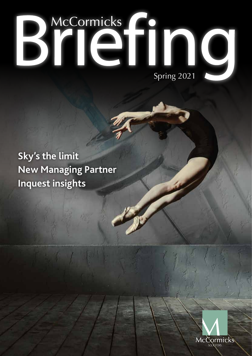# Bilding 2021

**Sky's the limit New Managing Partner Inquest insights**

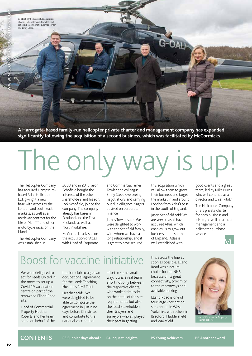Celebrating the successful acquisition of Atlas Helicopters are, from left, Jack Schofield, Jason Schofield, James Towler and Emily Steed.

**WWW.MCCORMICKS-SOLICITORS.COM**

**A Harrogate-based family-run helicopter private charter and management company has expanded significantly following the acquisition of a second business, which was facilitated by McCormicks.**

# The only way is

The Helicopter Company has acquired Hampshirebased Atlas Helicopters Ltd, giving it a new base with access to the London and south east markets, as well as a medevac contract for the Isle of Man TT and other motorcycle races on the island.

The Helicopter Company was established in

2008 and in 2016 Jason Schofield bought the interests of the other shareholders and his son, Jack Schofield, joined the company. The company already has bases in Scotland and the East Midlands as well as North Yorkshire.

McCormicks advised on the acquisition of Atlas, with Head of Corporate and Commercial James Towler and colleague Emily Steed overseeing negotiations and carrying out due diligence. Sagars advised on corporate finance.

James Towler said: We were delighted to work with the Schofield family, with whom we have a long relationship, and it is great to have secured

this acquisition which will allow them to grow their business and target the market in and around London from Atlas's base in the south of England.

Jason Schofield said: We are very pleased have acquired Atlas, which enables us to grow our business in the south of England. Atlas is well established with

good clients and a great team, led by Mike Burns, who will continue as a director and Chief Pilot."

The Helicopter Company offers private charter for both business and leisure, as well as aircraft management and a helicopter purchase service.



### Boost for vaccine initiative

We were delighted to act for Leeds United in the move to set up a Covid-19 vaccination centre on part of the renowned Elland Road site.

Head of Commercial Property Heather Roberts and her team acted on behalf of the football club to agree an occupational agreement for the Leeds Teaching Hospitals NHS Trust.

Heather said: "We were delighted to be able to complete the agreement in just nine days before Christmas and contribute to the national vaccination

effort in some small way. It was a real team effort not only between the respective clients, who worked tirelessly on the detail of the site requirements, but also the local stakeholders, their lawyers and surveyors who all played their part in getting

this across the line as soon as possible. Elland Road was a natural choice for the NHS because of its great connectivity, proximity to the motorways and available parking."

Elland Road is one of four large vaccination sites set up in West Yorkshire, with others in Bradford, Huddersfield and Wakefield.



**CONTENTS**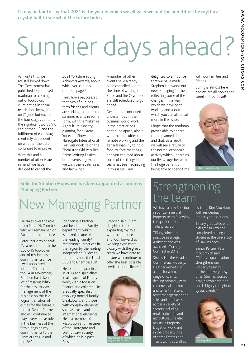# Sunnier days ahead?

As I write this, we are still locked down. The Government has published its proposed roadmap for coming out of lockdown, culminating in social restrictions being lifted on 21 June but each of the four stages contains the significant words "no earlier than…" and the fulfilment of each stage is entirely dependent on whether the data continues to improve.

With this and a number of other issues in mind, we have decided to cancel the

2021 Yorkshire Young Achievers Awards, about which you can read more on page 5.

I am, however, pleased that two of our longterm friends and clients are seeking to hold their summer events in some form, with the Yorkshire Agricultural Society planning for a Great Yorkshire Show and Harrogate International Festivals working on the Theakston Old Peculier Crime Writing Festival, both events in July, and we wish them calm seas and fair winds.

A number of other events have already been cancelled but, at the time of writing, the Euros and the Olympics are still scheduled to go ahead.

Despite the continued uncertainties in the business world, work in the practice has continued apace, albeit with the difficulties of remote working and the general inability to hold face-to-face meetings, and you can read about some of the things our team has been achieving in this issue. I am

delighted to announce that we have made Stephen Hopwood our new Managing Partner, reflecting some of the changes in the way in which we have been working and about which you can also read more in this issue.

I hope that the roadmap proves able to adhere to the planned dates and that, as a result, we will see a return to the normal economic activity which underpins our lives, together with the huge benefit of being able to spend time with our families and friends.

Spring is almost here and we are all hoping for sunnier days ahead!



Peter McCormick OBE

**Solicitor Stephen Hopwood has been appointed as our new Managing Partner.**

## New Managing Partner

He takes over the role from Peter McCormick, who will remain Senior Partner of the practice.

Peter McCormick said: "As a result of both the Covid-19 lockdown and of my increased commitments since I was appointed interim Chairman of the FA in November, Stephen has taken a lot of responsibility for the day-to-day management of the business so this is a logical transition of duties for the future. I remain Senior Partner and will continue to play a very active role in the business of the firm alongside my commitments to the Premier League and the FA."

Stephen is a Partner and head of our Family department, which is ranked as one of the leading Family/ Matrimonial practices in the region by the leading independent Guides to the profession, the Legal 500 and Chambers UK.

He joined the practice in 2013 and specialises in all aspects of Family work, with a focus on finance and children. He is equally specialist in resolving normal family breakdowns and those with complex elements such as trusts and international elements. He is a member of Resolution and Treasurer of the Harrogate and District Law Society, of which he is a past President.

Stephen said: "I am delighted to be expanding my role with the practice and look forward to working even more closely with the great team we have here to ensure we continue to offer the best possible service to our clients."



#### **Strengthening** the team

We have a new Solicitor in our Commercial Property team following the qualification of Tiffany Jackson.

Tiffany joined the practice as a Legal Assistant and was awarded a Training Contract in 2019.

She assists the Head of Commercial Property, Heather Roberts, in acting for a broad range of clients, dealing primarily with commercial landlord and tenant matters, asset management and sales and purchases across a variety of sectors including retail, industrial and agriculture. She also assists in Property Litigation work and in the property side of some Estates and Trusts work, as well as

assisting Kim Stockburn with residential property transactions.

Tiffany graduated with a degree in Law and completed her legal studies at the University of Law in Leeds.

Senior Partner Peter McCormick said: "Tiffany's qualification strengthens our Property team still further at a very busy time. She has worked hard, shown ambition and is highly thought of by our clients."



**P 3**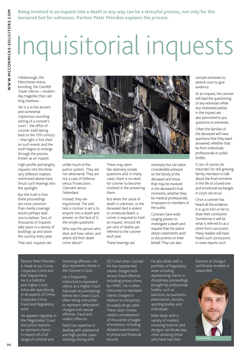**Being involved in an inquest into a death in any way can be a stressful process, not only for the bereaved but for witnesses. Partner Peter Minnikin explains the process.**

## Inquisitorial inquests

Hillsborough; the Manchester Arena bombing; the Grenfell Tower inferno – modernday tragedies that cast long shadows.

Yet it is in the ancient and somewhat mysterious sounding setting of a coroner's court – the office of coroner itself dating back to the 12th century – that light is first shed on such events and the truth begins to emerge through the process known as an inquest.

High-profile and lengthy inquests into the three very different matters mentioned above have thrust such hearings into the spotlight.

But the truth is that these proceedings are more common than media coverage would perhaps lead one to believe. Tens of thousands of inquests take place in a variety of buildings up and down the country every year.

That said, inquests are



unlike much of the justice system. They are not adversarial. They are not a case of Defence versus Prosecution, Claimant versus Defendant.

Instead, they are inquisitorial. The sole task a coroner is set is to enquire into a death and answer, on the face of it, the simple questions:

Who was the person who died, and how, when, and where did their death come about?

These may seem like relatively simple questions and, in many cases, there is no need for coroner to become involved in the answering them.

But when the cause of death is unknown, or the deceased died a violent or unnatural death, a corner is required to hold an inquest. Around 40 per cent of deaths are referred to the coroner each year.

These hearings are

necessary but can place considerable pressure on the family of the deceased and those that may be involved in the deceased's final moments, whether they be medical professionals, employers or members of the public.

Coroners have wideranging powers to investigate a death and request that the police obtain statements and/ or documents on their behalf. They can also

compel witnesses to attend court to give evidence.

At an inquest, the coroner will lead the questioning of any witnesses while any interested parties in the inquest are also permitted to put questions to witnesses.

Often the families of the deceased will have questions that they want answered, whether that be from individuals, professionals or public bodies.

It can, of course, be traumatic for still-grieving family members to talk about the final moments in the life of a loved one and emotional exchanges in court can occur.

Once a coroner has heard all the evidence it is up to him or her to draw their conclusion. Sometimes it will be what is referred to as a short-form conclusion. Many readers will have heard such conclusions in news reports such

Partner Peter Minnikin is Head of our Crime, Corporate Crime and Risk Department. He is a Solicitor and Higher Court Advocate specialising in all aspects of Crime, Corporate Crime, Fraud and Regulatory work.

He appears regularly in the Magistrates' Court and police stations to represent clients in respect of a full range of criminal and

motoring offences. He also represents clients in the Coroner's Court.

He is frequently instructed to represent clients as a Higher Court Advocate at proceedings before the Crown Court, often being instructed to represent defendants charged with sexual offences, fraud and violent offences.

Peter has expertise in dealing with substantial and high-profile cases, working closing with

QC's and other Counsel. He has represented clients charged with serious fraud offences, including prosecutions by HMRC. He is often instructed to represent clients charged in relation to conspiracy to supply drugs cases. These cases involve careful consideration of thousands of pages of evidence, including detailed examination of phone and financial records.

He also deals with a

portfolio of Regulatory work including representing clients in disciplinary proceedings brought by professional bodies, such as solicitors, accountants, pharmacists, doctors, sporting bodies and individuals.

Peter deals with a variety of matters involving firearms and shotgun certificate law, often assisting those who have had their

firearms or shotgun certificates revoked or suspended.

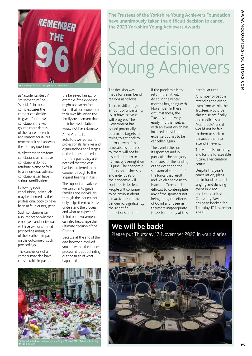

as "accidental death", "misadventure" or "suicide". In more complex cases the coroner can decide to give a "narrative" conclusion; this will go into more details of the cause of death and reasons for it- but remember it still answers the four key questions.

Whilst these short-form conclusions or narrative conclusions do not attribute blame or fault to an individual, adverse conclusions can have serious ramifications.

Following such conclusions, individuals may be deemed by their professional body to have been at fault or negligent.

Such conclusions can also impact on whether employers and individuals will face civil or criminal proceeding arising out of the death, or impact on the outcome of such proceedings.

The conclusions of a coroner may also have considerable impact on

the perpetrator)

the bereaved family, for example if the evidence might appear on face value that someone took their own life, when the family are adamant that their beloved relative would not have done so.

#### At McCormicks

Solicitors we represent professionals, families and organisations at all stages of the inquest procedure from the point they are notified that the case has been referred to the coroner through to the inquest hearing in itself.

The support and advice we can offer to guide families and individuals through the inquest not only helps them to better understand the process and what to expect of it, but our involvement can also help shape the ultimate decision of the Coroner

Because at the end of the day, however involved you are within the inquest process, it is about finding out the truth of what happened.

**The Trustees of the Yorkshire Young Achievers Foundation have unanimously taken the difficult decision to cancel the 2021 Yorkshire Young Achievers Awards.**

## Sad decision on Young Achievers

The decision was made for a number of reasons as follows:

There is still a huge amount of uncertainty as to how the year will progress. The Government has issued potentially optimistic targets for trying to get back to normal, even if that timetable is adhered to, there will not be a sudden return to normality overnight on 21 June. The economic effects on businesses and individuals of the pandemic will continue to be felt. People will continue to be anxious about a reactivation of the pandemic. Significantly, the scientific predictions are that

if the pandemic is to return, then it will do so in the winter months beginning with November. In these circumstances, the Trustees could very easily find themselves with an event which has incurred considerable expense but has to be cancelled again.

The event relies on its sponsors and in particular the category sponsors for the funding of the event and the substantial element of the funds that result and which enable us to issue our Grants. It is difficult to contemplate any of the sponsors not being hit by the effects of Covid and it seems therefore inappropriate to ask for money at this

#### particular time.

A number of people attending the event, even from within the Trustees, would be classed scientifically and medically as "vulnerable" and it would not be fair to them to seek to persuade them to attend an event.

The venue is currently, and for the foreseeable future, a vaccination centre.

Despite this year's cancellation, plans are in hand for an all singing and dancing event in 2022 and Leeds United Centenary Pavilion has been booked for Thursday 17 November 2022!